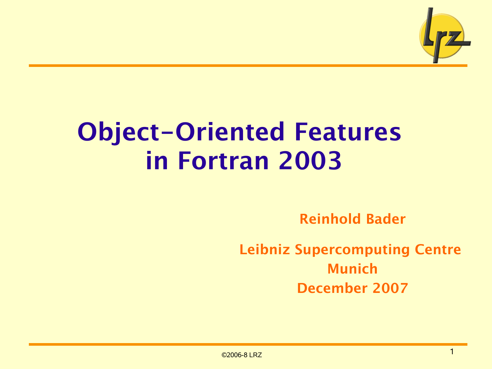

# Object-Oriented Features in Fortran 2003

Reinhold Bader

Leibniz Supercomputing Centre Munich December 2007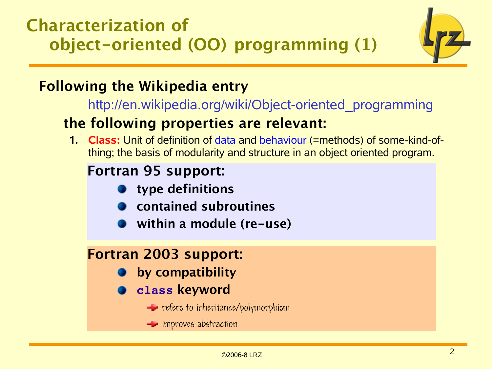Characterization of object-oriented (OO) programming (1)



## Following the Wikipedia entry

[http://en.wikipedia.org/wiki/Object-oriented\\_programming](http://en.wikipedia.org/wiki/Object-oriented_programming)

### the following properties are relevant:

**1. Class:** Unit of definition of data and behaviour (=methods) of some-kind-ofthing; the basis of modularity and structure in an object oriented program.

## Fortran 95 support:

- type definitions
- contained subroutines
- within a module (re-use)

## Fortran 2003 support:

- by compatibility
- **class** keyword
	- $\blacktriangle$  refers to inheritance/polymorphism
	- $\equiv$  improves abstraction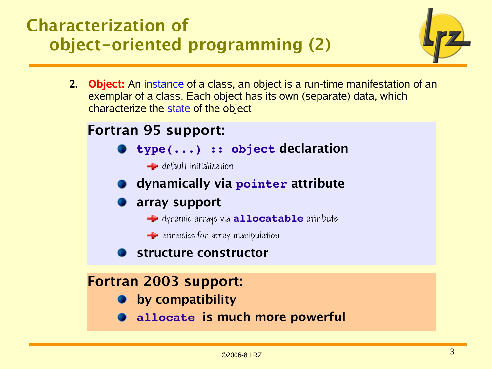## Characterization of object-oriented programming (2)



**2. Object:** An instance of a class, an object is a run-time manifestation of an exemplar of a class. Each object has its own (separate) data, which characterize the state of the object

### Fortran 95 support:

- **type(...) :: object** declaration
	- default initialization
- dynamically via **pointer** attribute
- array support
	- dynamic arrays via **allocatable** attribute
	- $\blacktriangleright$  intrinsics for array manipulation
- structure constructor

### Fortran 2003 support:

- **•** by compatibility
- **allocate** is much more powerful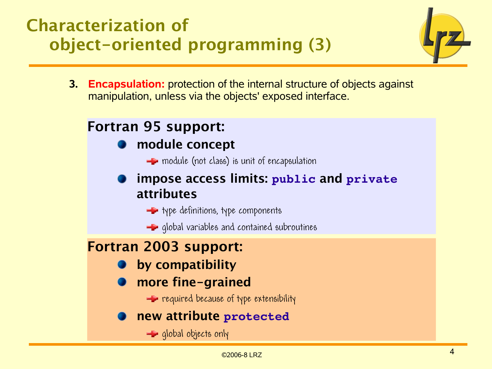## Characterization of object-oriented programming (3)



**3. Encapsulation:** protection of the internal structure of objects against manipulation, unless via the objects' exposed interface.

## Fortran 95 support:

### module concept

 $\blacktriangle$  module (not class) is unit of encapsulation

### impose access limits: **public** and **private** attributes

- $\rightarrow$  type definitions, type components
- $\blacktriangle$  global variables and contained subroutines

### Fortran 2003 support:

- by compatibility
- more fine-grained

 $\equiv$  required because of type extensibility

### new attribute **protected**

 $\equiv$  global objects only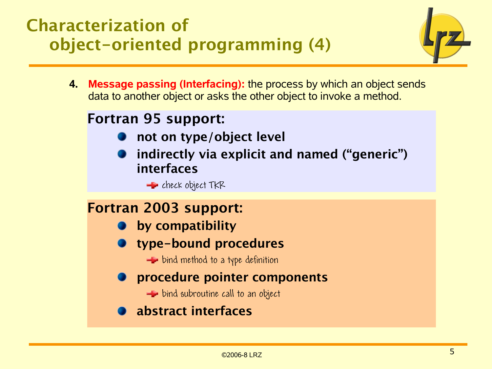## Characterization of object-oriented programming (4)



**4. Message passing (Interfacing):** the process by which an object sends data to another object or asks the other object to invoke a method.

### Fortran 95 support:

- not on type/object level
- indirectly via explicit and named ("generic") interfaces
	- $E$  check object  $TKR$

### Fortran 2003 support:

- **•** by compatibility
- **The-bound procedures** 
	- $\equiv$  bind method to a type definition
- **P** procedure pointer components
	- $\blacktriangleright$  bind subroutine call to an object
- abstract interfaces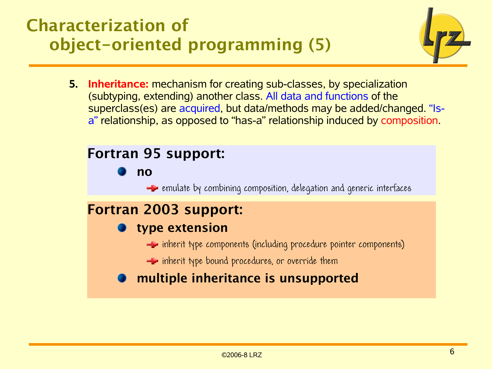## Characterization of object-oriented programming (5)



**5. Inheritance:** mechanism for creating sub-classes, by specialization (subtyping, extending) another class. All data and functions of the superclass(es) are acquired, but data/methods may be added/changed. "Isa" relationship, as opposed to "has-a" relationship induced by composition.

### Fortran 95 support:

no

 $\blacktriangle$  emulate by combining composition, delegation and generic interfaces

## Fortran 2003 support:

### type extension

- $\equiv$  inherit type components (including procedure pointer components)
- $\equiv$  inherit type bound procedures, or override them

### **nultiple inheritance is unsupported**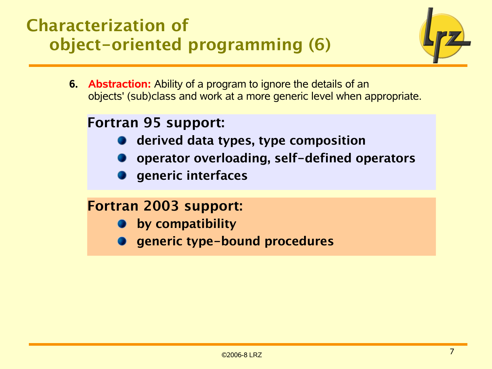## Characterization of object-oriented programming (6)



**6. Abstraction:** Ability of a program to ignore the details of an objects' (sub)class and work at a more generic level when appropriate.

### Fortran 95 support:

- derived data types, type composition
- operator overloading, self-defined operators
- generic interfaces

### Fortran 2003 support:

- **by compatibility**
- generic type-bound procedures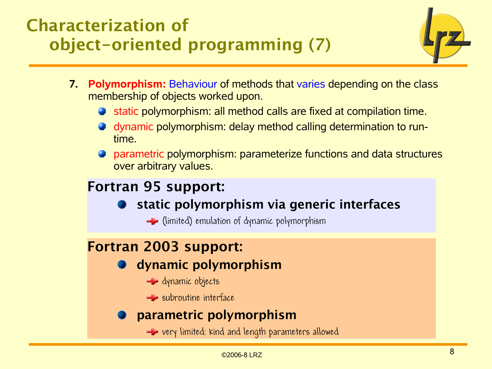## Characterization of object-oriented programming (7)



- **7. Polymorphism:** Behaviour of methods that varies depending on the class membership of objects worked upon.
	- **Static polymorphism: all method calls are fixed at compilation time.**
	- dynamic polymorphism: delay method calling determination to runtime.
	- **P** parametric polymorphism: parameterize functions and data structures over arbitrary values.

## Fortran 95 support:

- static polymorphism via generic interfaces
	- $\blacktriangle$  (limited) emulation of dynamic polymorphism

### Fortran 2003 support:

- **O** dynamic polymorphism
	- **E** dynamic objects
	- $\equiv$  subroutine interface

### parametric polymorphism

very limited: kind and length parameters allowed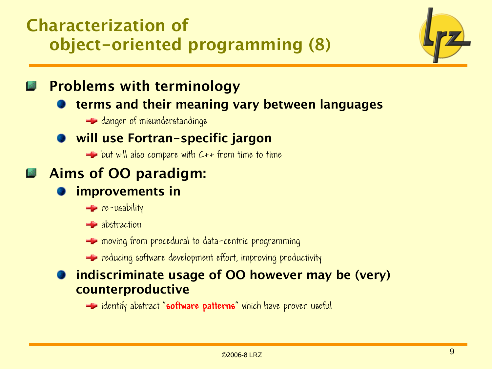## Characterization of object-oriented programming (8)



Problems with terminology

terms and their meaning vary between languages

**E** danger of misunderstandings

### will use Fortran-specific jargon

 $\equiv$  but will also compare with  $C++$  from time to time

## Aims of OO paradigm:

### improvements in

 $\equiv$  re-usability

 $\equiv$  abstraction

 $\equiv$  moving from procedural to data-centric programming

 $\blacktriangle$  reducing software development effort, improving productivity

### indiscriminate usage of OO however may be (very) counterproductive

identify abstract "**software patterns**" which have proven useful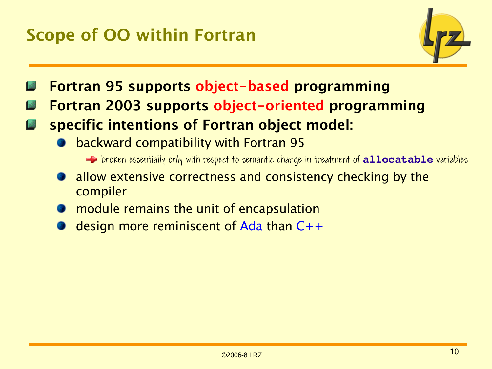## Scope of OO within Fortran



- Fortran 95 supports object-based programming
- Fortran 2003 supports object-oriented programming
- specific intentions of Fortran object model: 1<sub>20</sub>
	- backward compatibility with Fortran 95

broken essentially only with respect to semantic change in treatment of **allocatable** variables

- allow extensive correctness and consistency checking by the compiler
- **The module remains the unit of encapsulation**
- design more reminiscent of Ada than C++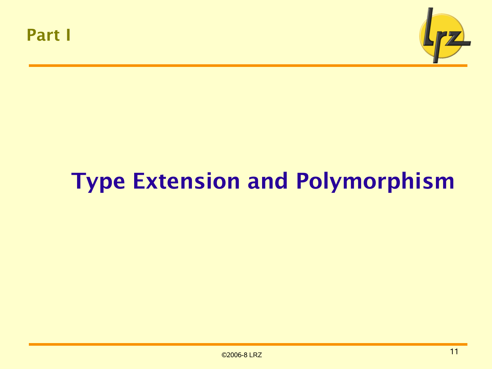

# Type Extension and Polymorphism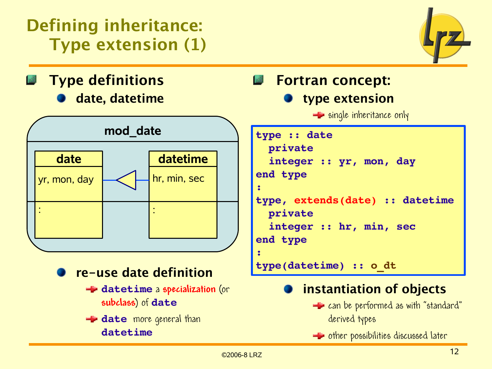## Defining inheritance: Type extension (1)



Type definitions date, datetime



- re-use date definition
	- **datetime** a **specialization** (or **subclass**) of **date**
	- **date** more general than **datetime**

### Fortran concept: type extension

 $\equiv$  single inheritance only

```
type :: date
    private
    integer :: yr, mon, day
end type
:
type, extends(date) :: datetime
    private
    integer :: hr, min, sec
end type
:
type(datetime) :: o_dt
```
## instantiation of objects

- $\equiv$  can be performed as with "standard" derived types
- **E** other possibilities discussed later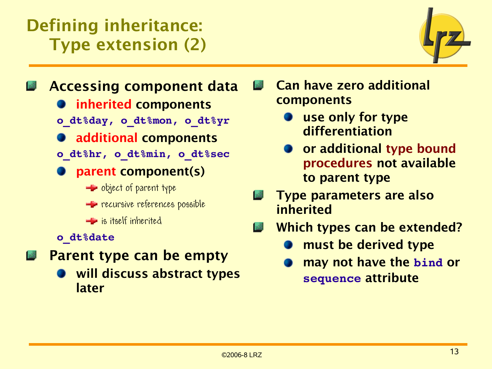## Defining inheritance: Type extension (2)



Accessing component data **Inherited components o\_dt%day, o\_dt%mon, o\_dt%yr**

**additional components** 

- **o\_dt%hr, o\_dt%min, o\_dt%sec**
- parent component(s)
	- $\blacktriangle$  object of parent type
	- **Form recursive references possible**
	- **Executed** is itself inherited
- **o\_dt%date**
- Parent type can be empty
	- will discuss abstract types later

Can have zero additional components

- use only for type differentiation
- or additional type bound procedures not available to parent type
- Type parameters are also inherited
- Which types can be extended?
	- must be derived type
	- may not have the **bind** or **sequence** attribute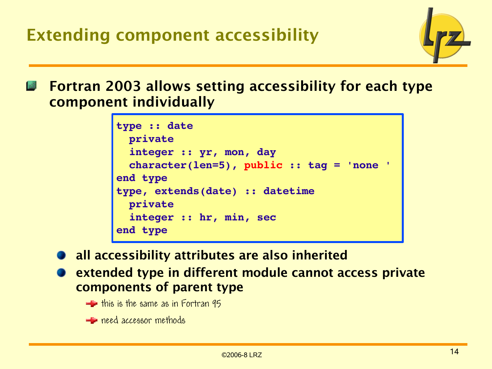

Fortran 2003 allows setting accessibility for each type component individually

```
type :: date
    private
    integer :: yr, mon, day
    character(len=5), public :: tag = 'none '
end type
type, extends(date) :: datetime
    private
    integer :: hr, min, sec
end type
```
all accessibility attributes are also inherited

extended type in different module cannot access private components of parent type

- $\pm$  this is the same as in Fortran 95
- **E** need accessor methods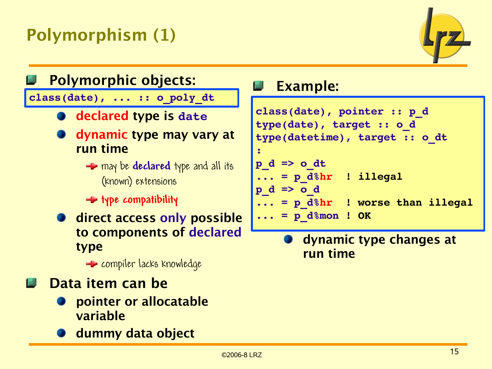## Polymorphism (1)





### Example:

```
class(date), pointer :: p_d
type(date), target :: o_d
type(datetime), target :: o_dt
p_d => o_dt
... = p_d%hr  ! illegal
p_d => o_d
... = p_d%hr  ! worse than illegal
... = p_d%mon ! OK
```
dynamic type changes at run time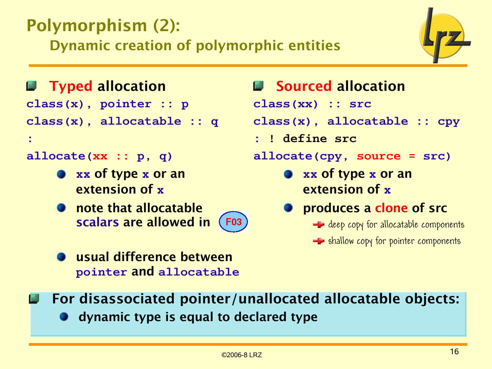## Polymorphism (2):

Dynamic creation of polymorphic entities



### **Fyped allocation**

**class(x), pointer :: p**

**class(x), allocatable :: q**

### **allocate(xx :: p, q)**

**:**

- **xx** of type **x** or an extension of **x**
- **note that allocatable** scalars are allowed in **F03**
- **Sourced allocation**
- **class(xx) :: src**

**class(x), allocatable :: cpy**

**: ! define src** 

**allocate(cpy, source = src)**

**xx** of type **x** or an extension of **x**

### **produces a clone of src**

- $\equiv$  deep copy for allocatable components
- $\blacktriangle$  shallow copy for pointer components

- usual difference between **pointer** and **allocatable**
- For disassociated pointer/unallocated allocatable objects:
	- **O** dynamic type is equal to declared type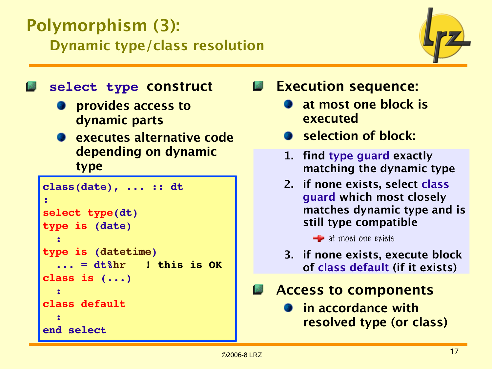## Polymorphism (3): Dynamic type/class resolution



### **select type** construct

- provides access to dynamic parts
- executes alternative code depending on dynamic type

```
class(date), ... :: dt
:
select type(dt)
type is (date)
  :
type is (datetime)
    ... = dt%hr   ! this is OK
class is (...) 
  : 
class default
  :
end select
```
Execution sequence:

- at most one block is executed
- Selection of block:
- 1. find type guard exactly matching the dynamic type
- 2. if none exists, select class guard which most closely matches dynamic type and is still type compatible

 $\blacksquare$  at most one exists

- 3. if none exists, execute block of class default (if it exists)
- Access to components
	- in accordance with resolved type (or class)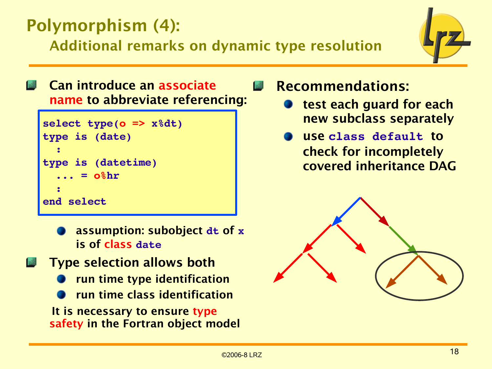## Polymorphism (4):

Additional remarks on dynamic type resolution



Can introduce an associate name to abbreviate referencing:

```
select type(o => x%dt)
type is (date)
  :
type is (datetime)
      = o_{\alpha}hr
  :
end select
```
assumption: subobject **dt** of **x** is of class **date**

Type selection allows both run time type identification run time class identification It is necessary to ensure type safety in the Fortran object model Recommendations:

- test each guard for each new subclass separately
- use **class default** to check for incompletely covered inheritance DAG

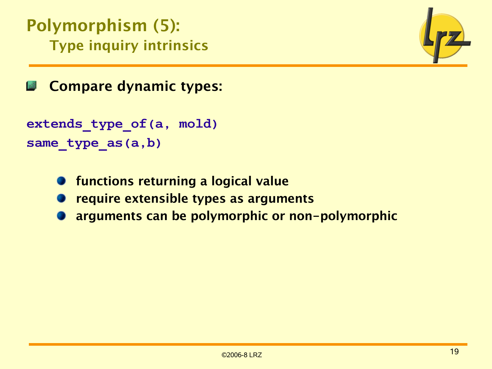Polymorphism (5): Type inquiry intrinsics



Compare dynamic types:

```
extends_type_of(a, mold)
same_type_as(a,b)
```
- functions returning a logical value
- require extensible types as arguments
- arguments can be polymorphic or non-polymorphic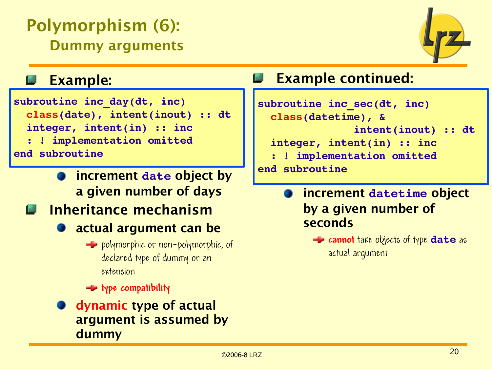## Polymorphism (6): Dummy arguments



### Example:

**subroutine inc\_day(dt, inc) class(date), intent(inout) :: dt integer, intent(in) :: inc**

- **: ! implementation omitted end subroutine**
	- increment **date** object by a given number of days

## **Inheritance mechanism**

- **a** actual argument can be
	- **E** polymorphic or non-polymorphic, of declared type of dummy or an extension
	- **type compatibility**
- dynamic type of actual argument is assumed by dummy

## Example continued:

```
subroutine inc_sec(dt, inc)
    class(datetime), &
                                 intent(inout) :: dt
    integer, intent(in) :: inc
      : ! implementation omitted
end subroutine
```
increment **datetime** object by a given number of seconds

**E** cannot take objects of type **date** as actual argument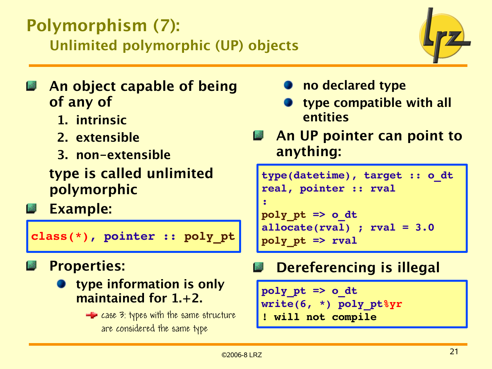## Polymorphism (7): Unlimited polymorphic (UP) objects



- An object capable of being of any of
	- 1. intrinsic
	- 2. extensible
	- 3. non-extensible
	- type is called unlimited polymorphic
- Example:

```
class(*), pointer :: poly_pt
```
## Properties:

- type information is only maintained for 1.+2.
	- $\blacktriangle$  case 3: types with the same structure are considered the same type
- no declared type
- type compatible with all entities
- An UP pointer can point to anything:

```
type(datetime), target :: o_dt
real, pointer :: rval
:
poly_pt => o_dt
allocate(rval) ; rval = 3.0
poly_pt => rval
```
## Dereferencing is illegal

```
poly_pt => o_dt
write(6, *) poly_pt%yr
! will not compile
```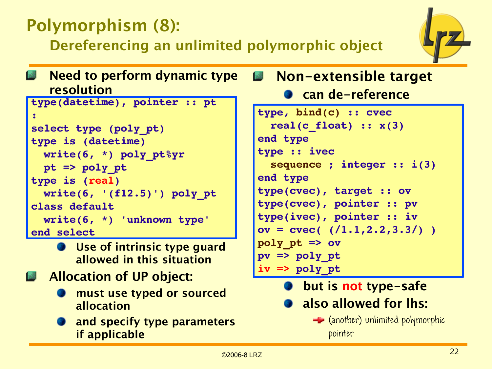## Polymorphism (8):

Dereferencing an unlimited polymorphic object



Need to perform dynamic type resolution

```
type(datetime), pointer :: pt
:
select type (poly_pt)
type is (datetime)
    write(6, *) poly_pt%yr
    pt => poly_pt
type is (real)
    write(6, '(f12.5)') poly_pt
class default
    write(6, *) 'unknown type'
end select
```
- **Use of intrinsic type quard** allowed in this situation
- **Allocation of UP object:** 
	- must use typed or sourced allocation
	- **and specify type parameters** if applicable

#### Non-extensible target **Roof**

can de-reference

```
type, bind(c) :: cvec
    real(c_float) :: x(3)
end type
type :: ivec
    sequence ; integer :: i(3)
end type
type(cvec), target :: ov
type(cvec), pointer :: pv
type(ivec), pointer :: iv
ov = cvec( (/1.1,2.2,3.3/) )
poly_pt => ov
pv => poly_pt
iv => poly_pt
```
but is not type-safe

- also allowed for lhs:
	- $\equiv$  (another) unlimited polymorphic pointer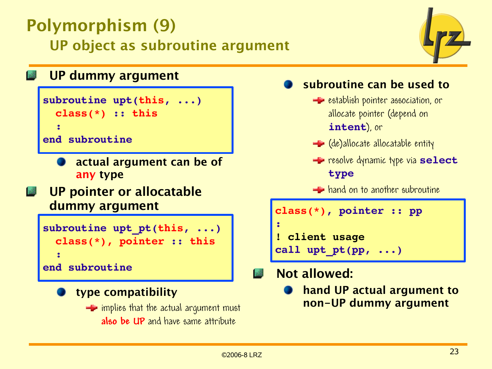## Polymorphism (9) UP object as subroutine argument



### UP dummy argument

```
subroutine upt(this, ...)
    class(*) :: this
  :
end subroutine
```
- actual argument can be of
	- any type
- UP pointer or allocatable **India** dummy argument

```
subroutine upt_pt(this, ...)
    class(*), pointer :: this
  :
end subroutine
```
- type compatibility
	- $\equiv$  implies that the actual argument must **also be UP** and have same attribute

### subroutine can be used to

- **E** establish pointer association, or allocate pointer (depend on **intent**), or
- $\equiv$  (de)allocate allocatable entity
- **F** resolve dynamic type via **select type**

**H** hand on to another subroutine

| $class(*)$ , pointer :: pp |  |
|----------------------------|--|
| 437                        |  |
| ! client usage             |  |
| call upt $pt(pp, )$        |  |

### Not allowed:

hand UP actual argument to non-UP dummy argument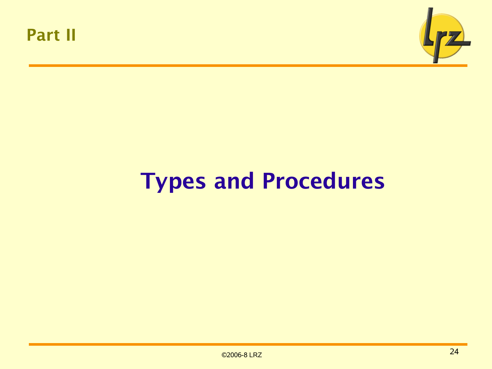



# Types and Procedures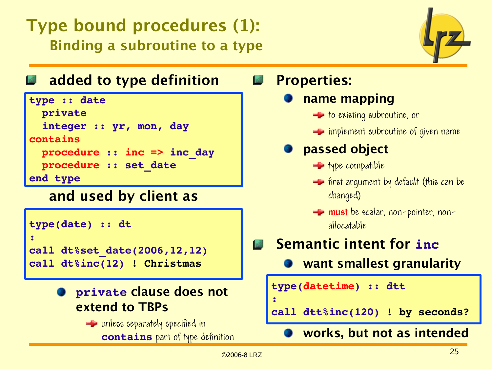## Type bound procedures (1): Binding a subroutine to a type



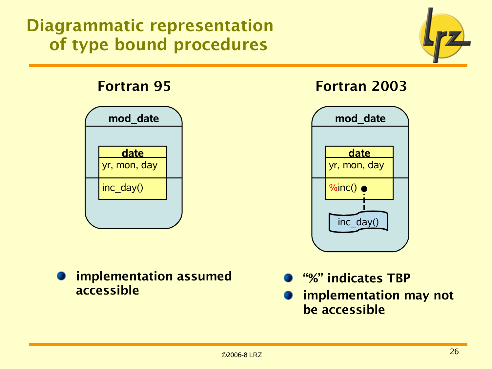## Diagrammatic representation of type bound procedures



### Fortran 95



### implementation assumed accessible

### Fortran 2003



- "%" indicates TBP
- implementation may not be accessible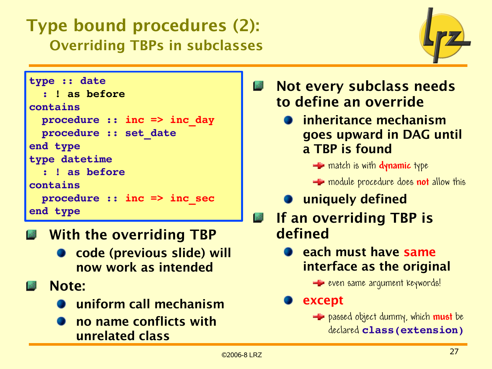## Type bound procedures (2): Overriding TBPs in subclasses



```
type :: date
    : ! as before
contains
    procedure :: inc => inc_day
    procedure :: set_date
end type
type datetime
    : ! as before
contains
    procedure :: inc => inc_sec
end type
```
- With the overriding TBP **Book** 
	- code (previous slide) will now work as intended
- **M** Note:
	- uniform call mechanism
	- no name conflicts with unrelated class
- Not every subclass needs to define an override
	- **•** inheritance mechanism goes upward in DAG until a TBP is found
		- **E** match is with **dynamic** type
		- **E** module procedure does **not** allow this
	- **O** uniquely defined
- If an overriding TBP is 1感 defined
	- **each must have same** interface as the original
		- **E** even same argument keywords!

except

**E** passed object dummy, which **must** be declared **class(extension)**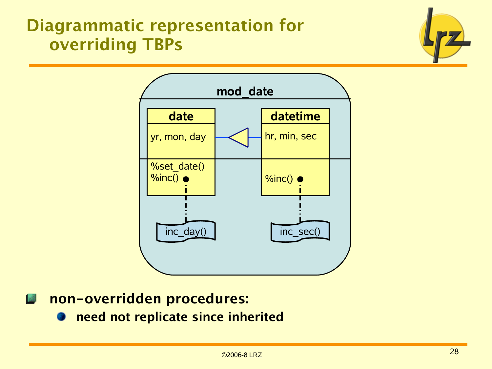## Diagrammatic representation for overriding TBPs





#### non-overridden procedures: 盛

need not replicate since inherited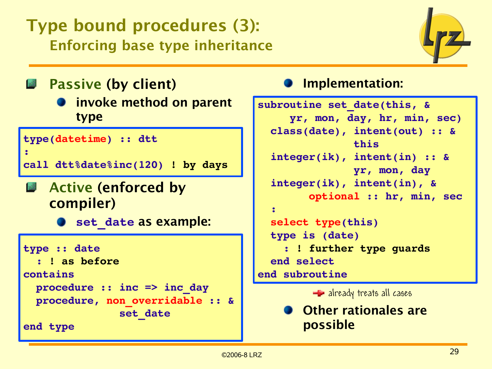## Type bound procedures (3): Enforcing base type inheritance



Passive (by client)

**D** invoke method on parent type

```
type(datetime) :: dtt
:
```

```
call dtt%date%inc(120) ! by days
```

```
E Active (enforced by
   compiler)
```
**set\_date** as example:

```
type :: date
    : ! as before
contains
    procedure :: inc => inc_day
    procedure, non_overridable :: &
                                 set_date
```
**end type**

## Implementation:

```
subroutine set_date(this, &
           yr, mon, day, hr, min, sec)
    class(date), intent(out) :: &
                                 this
    integer(ik), intent(in) :: &
                                 yr, mon, day 
    integer(ik), intent(in), &
                  optional :: hr, min, sec
    :
    select type(this)
    type is (date)
         : ! further type guards
    end select
end subroutine
```
 $\equiv$  already treats all cases

Other rationales are possible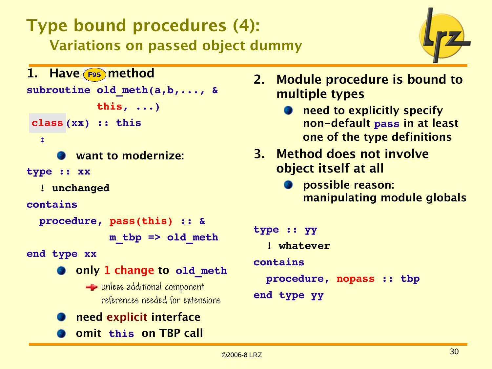## Type bound procedures (4): Variations on passed object dummy



```
1. Have F95 method
subroutine old_meth(a,b,..., &
                        this, ...)
  type(xx) :: this
class  :
         want to modernize:
type :: xx
    ! unchanged
contains
    procedure, pass(this) :: &
                             m_tbp => old_meth
end type xx
      C only 1 change to old meth
           E unless additional component
              references needed for extensions
         need explicit interface
         omit this on TBP call
```
- 2. Module procedure is bound to multiple types
	- **O** need to explicitly specify non-default **pass** in at least one of the type definitions
- 3. Method does not involve object itself at all
	- **O** possible reason: manipulating module globals

```
type :: yy
    ! whatever
contains
    procedure, nopass :: tbp
end type yy
```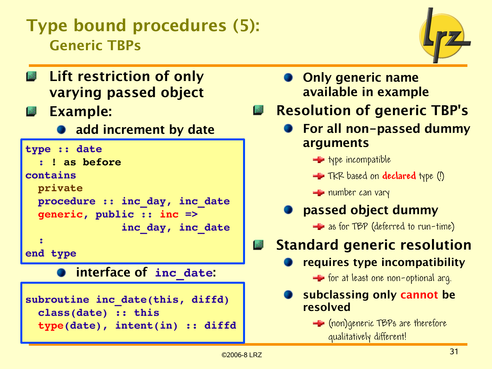## Type bound procedures (5): Generic TBPs



- **Lift restriction of only** varying passed object
- 國 Example:
	- **add increment by date**

```
type :: date
      : ! as before
contains
    private
    procedure :: inc_day, inc_date
    generic, public :: inc =>
                                 inc_day, inc_date
  :
end type
```
interface of **inc\_date**:

```
subroutine inc_date(this, diffd)
    class(date) :: this
    type(date), intent(in) :: diffd
```
- **Only generic name** available in example
- 盛 Resolution of generic TBP's
	- **For all non-passed dummy** arguments
		- $\blacksquare$  type incompatible
		- **TKR** based on **declared** type (!)

 $\equiv$  number can vary

passed object dummy

**E** as for TBP (deferred to run-time)

- Standard generic resolution
	- requires type incompatibility

 $\blacktriangle$  for at least one non-optional arg.

- subclassing only cannot be resolved
	- **E** (non) generic TBPs are therefore qualitatively different!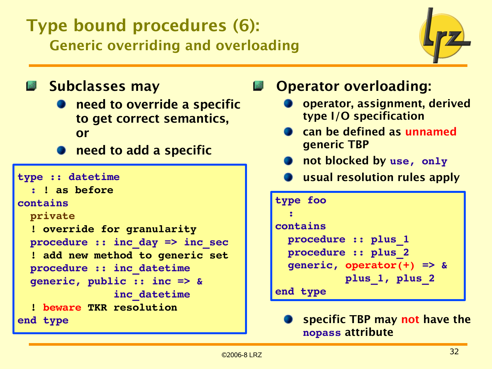## Type bound procedures (6): Generic overriding and overloading



**Subclasses may** 

- need to override a specific to get correct semantics, or
- **Theory and a specific**

```
type :: datetime
    : ! as before
contains
    private
    ! override for granularity
    procedure :: inc_day => inc_sec
    ! add new method to generic set
    procedure :: inc_datetime
    generic, public :: inc => &
                                inc_datetime
    ! beware TKR resolution
end type
```
## Operator overloading:

- operator, assignment, derived type I/O specification
- can be defined as unnamed generic TBP
- **1** not blocked by use, only
- **O** usual resolution rules apply

```
type foo
  :
contains
    procedure :: plus_1
    procedure :: plus_2
    generic, operator(+) => &
                       plus_1, plus_2
end type
```
specific TBP may not have the **nopass** attribute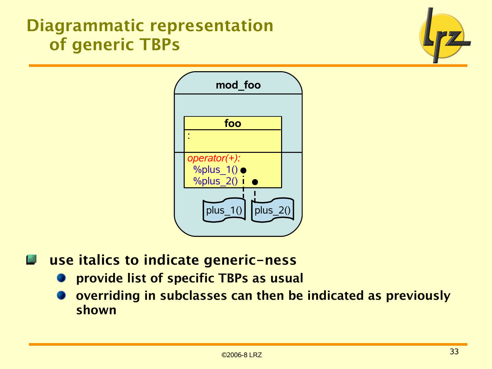## Diagrammatic representation of generic TBPs





use italics to indicate generic-ness **I** all

- provide list of specific TBPs as usual
- overriding in subclasses can then be indicated as previously shown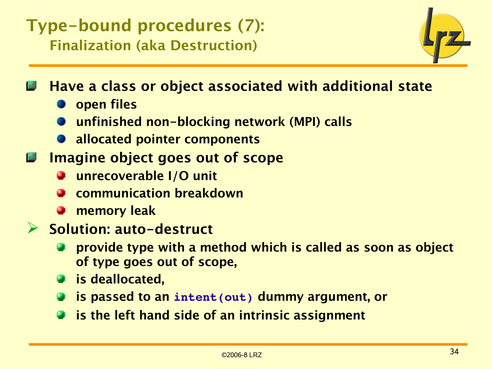## Type-bound procedures (7): Finalization (aka Destruction)



Have a class or object associated with additional state

- **D** open files
- unfinished non-blocking network (MPI) calls
- **allocated pointer components**
- Imagine object goes out of scope
	- unrecoverable I/O unit
	- communication breakdown
	- memory leak
- ➢ Solution: auto-destruct
	- provide type with a method which is called as soon as object of type goes out of scope,
	- **is deallocated,**
	- is passed to an **intent(out)** dummy argument, or
	- is the left hand side of an intrinsic assignment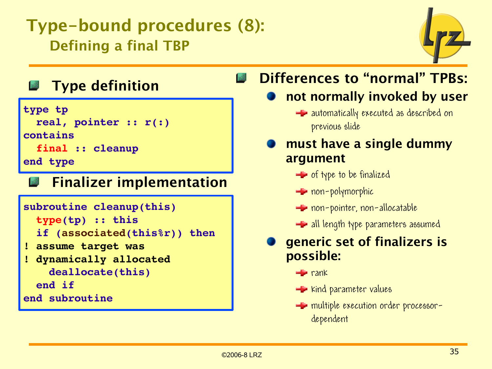## Type-bound procedures (8): Defining a final TBP



## Type definition

```
type tp
    real, pointer :: r(:)
contains
    final :: cleanup
end type
```
#### Finalizer implementation 國

```
subroutine cleanup(this)
    type(tp) :: this
    if (associated(this%r)) then
! assume target was
! dynamically allocated
        deallocate(this)
    end if
end subroutine
```
#### Differences to "normal" TPBs: 13

## not normally invoked by user

 $\blacktriangle$  automatically executed as described on previous slide

### must have a single dummy argument

- $\equiv$  of type to be finalized
- **E** non-polymorphic
- **Formallishm** non-allocatable
- $\equiv$  all length type parameters assumed

### generic set of finalizers is possible:

- $r$ ank
- $\blacktriangle$  kind parameter values
- **E** multiple execution order processordependent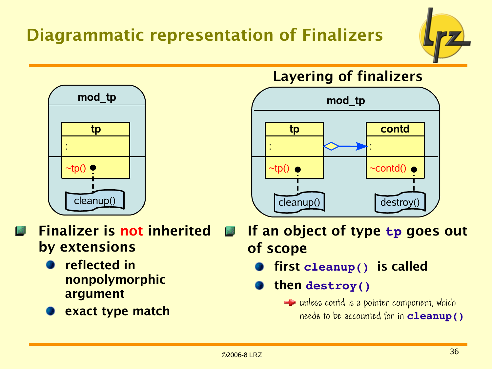## Diagrammatic representation of Finalizers



Layering of finalizers



If an object of type **tp** goes out of scope

- first **cleanup()** is called
- then **destroy()**
	- $\equiv$  unless contd is a pointer component, which needs to be accounted for in **cleanup()**



Finalizer is not inherited **I** all 1.Z by extensions

- reflected in nonpolymorphic argument
- exact type match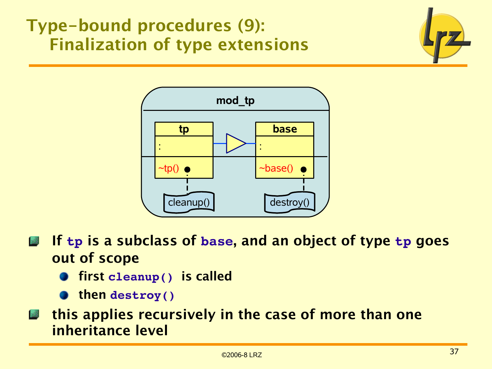## Type-bound procedures (9): Finalization of type extensions





- If **tp** is a subclass of **base**, and an object of type **tp** goes **A** out of scope
	- **The first cleanup() is called**
	- then **destroy()**
- this applies recursively in the case of more than one  $\mathbb{Z}$ inheritance level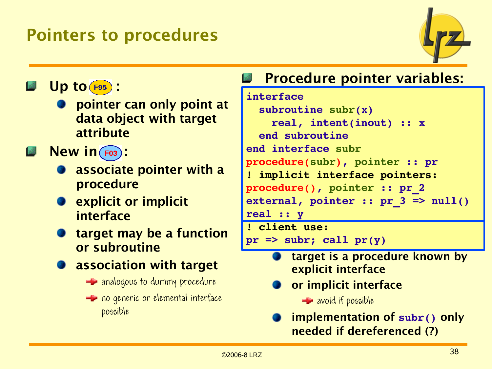## Pointers to procedures



 $Up$  to  $F95$ :

- pointer can only point at data object with target attribute
- $New in (F03)$ :
	- associate pointer with a procedure
	- **Explicit or implicit** interface
	- target may be a function or subroutine
		- association with target
			- $\equiv$  analogous to dummy procedure
			- **E** no generic or elemental interface possible

## Procedure pointer variables:

```
interface
    subroutine subr(x)
        real, intent(inout) :: x
    end subroutine 
end interface subr
procedure(subr), pointer :: pr
! implicit interface pointers:
procedure(), pointer :: pr_2
external, pointer :: pr 3 => null()real :: y
! client use:
```

```
pr \Rightarrow subr; call pr(y)
```
- target is a procedure known by explicit interface
- or implicit interface

 $\equiv$  avoid if possible

implementation of **subr()** only needed if dereferenced (?)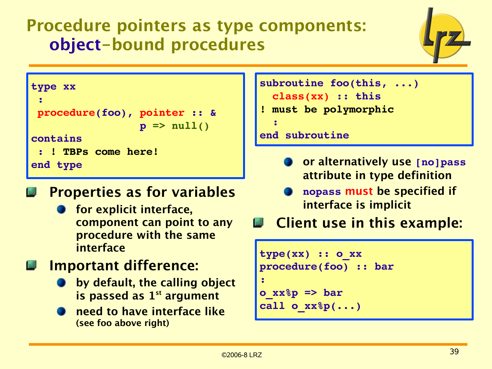## Procedure pointers as type components: object-bound procedures



```
type xx
 :
 procedure(foo), pointer :: &
                   p \Rightarrow null()contains
  : ! TBPs come here!
end type
```
### Properties as for variables

- for explicit interface, component can point to any procedure with the same interface
- Important difference:
	- **by default, the calling object** is passed as  $1<sup>st</sup>$  argument
	- need to have interface like (see foo above right)

```
subroutine foo(this, ...)
   class(xx) :: this
! must be polymorphic
  :
```

```
end subroutine
```
- or alternatively use **[no]pass** attribute in type definition
- **nopass** must be specified if interface is implicit
- Client use in this example:

```
type(xx) :: o_xx
procedure(foo) :: bar
:
o_xx%p => bar
call o_xx%p(...)
```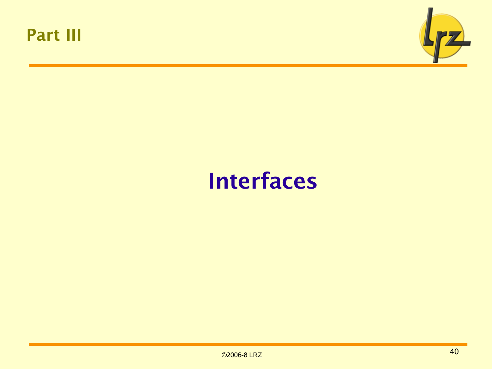



# Interfaces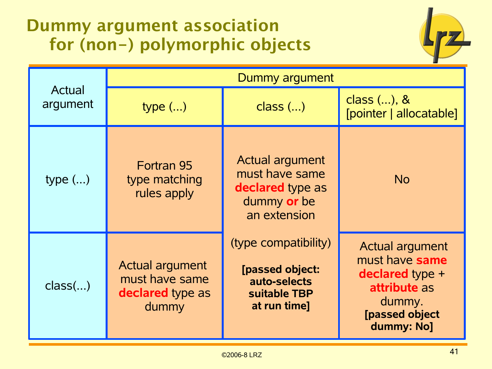## Dummy argument association for (non-) polymorphic objects



|                    | Dummy argument                                                 |                                                                                             |                                                                                                                                     |  |
|--------------------|----------------------------------------------------------------|---------------------------------------------------------------------------------------------|-------------------------------------------------------------------------------------------------------------------------------------|--|
| Actual<br>argument | type $()$                                                      | $class$ ()                                                                                  | class $()$ , &<br>[pointer   allocatable]                                                                                           |  |
| type $()$          | Fortran 95<br>type matching<br>rules apply                     | <b>Actual argument</b><br>must have same<br>declared type as<br>dummy or be<br>an extension | <b>No</b>                                                                                                                           |  |
| class()            | Actual argument<br>must have same<br>declared type as<br>dummy | (type compatibility)<br>[passed object:<br>auto-selects<br>suitable TBP<br>at run time]     | <b>Actual argument</b><br>must have same<br><b>declared</b> type +<br>attribute as<br>dummy.<br><b>[passed object</b><br>dummy: No] |  |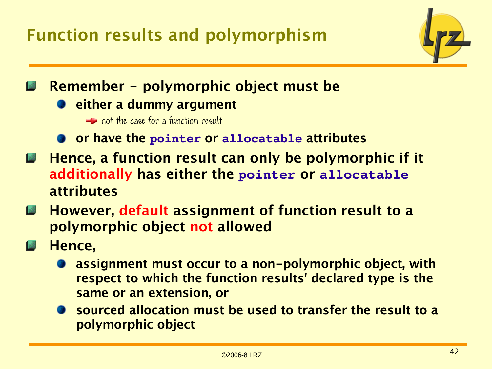Function results and polymorphism



## Remember - polymorphic object must be

**D** either a dummy argument

**Exercise** not the case for a function result

- **OF have the pointer or allocatable attributes**
- Hence, a function result can only be polymorphic if it **Register** additionally has either the **pointer** or **allocatable** attributes
- However, default assignment of function result to a 12 polymorphic object not allowed
- Hence, **Incident** 
	- assignment must occur to a non-polymorphic object, with respect to which the function results' declared type is the same or an extension, or
	- sourced allocation must be used to transfer the result to a polymorphic object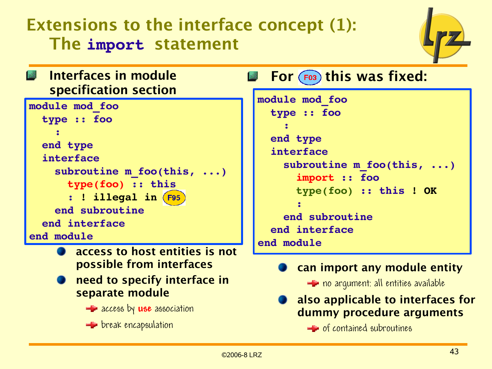## Extensions to the interface concept (1): The **import** statement



#### Interfaces in module For  $F($ <sub>F03</sub>) this was fixed: 13 specification section **module mod\_foo module mod\_foo type :: foo type :: foo : : end type end type interface interface** subroutine m foo(this, ...) subroutine m foo(this, ...)  **import :: foo type(foo) :: this type(foo) :: this ! OK : ! illegal in : end subroutine end subroutine end interface end interface end module end module**access to host entities is not possible from interfaces

need to specify interface in

**Exercise by use** association

separate module

 $\blacktriangle$  break encapsulation

can import any module entity

 $\blacktriangle$  no argument: all entities available

### also applicable to interfaces for dummy procedure arguments

 $\equiv$  of contained subroutines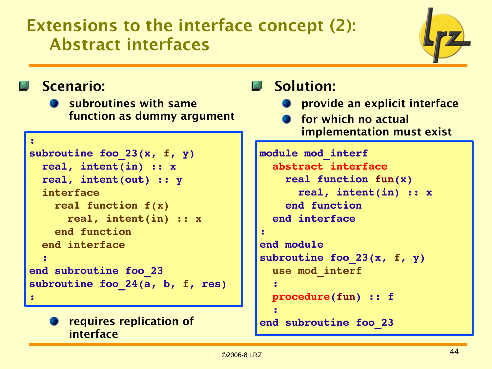## Extensions to the interface concept (2): Abstract interfaces



### Scenario:

**Subroutines with same** function as dummy argument

```
:
subroutine foo_23(x, f, y)
    real, intent(in) :: x
    real, intent(out) :: y
    interface
        real function f(x)
            real, intent(in) :: x
        end function
    end interface
  :
end subroutine foo_23
subroutine foo_24(a, b, f, res)
:
```
### requires replication of interface

## Solution:

- **•** provide an explicit interface
- **S** for which no actual implementation must exist

```
module mod_interf
    abstract interface
        real function fun(x)
             real, intent(in) :: x
        end function
    end interface
:
end module
subroutine foo_23(x, f, y)
    use mod_interf 
  :
    procedure(fun) :: f
  :
end subroutine foo_23
```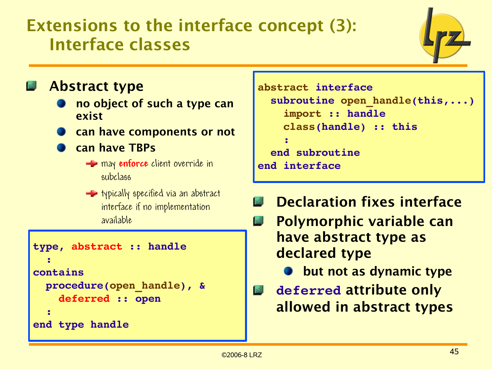## Extensions to the interface concept (3): Interface classes



### Abstract type

- no object of such a type can exist
- can have components or not
- can have TBPs
	- **E** may **enforce** client override in subclass
	- $\blacktriangle$  typically specified via an abstract interface if no implementation available

```
type, abstract :: handle
  :
contains
    procedure(open_handle), &
        deferred :: open
  :
end type handle
```

```
abstract interface
  subroutine open handle(this,...)
        import :: handle
        class(handle) :: this
    :
    end subroutine
end interface
```
- Declaration fixes interface
- Polymorphic variable can **In 1999** have abstract type as declared type
	- **but not as dynamic type**
- **deferred** attribute only **All** allowed in abstract types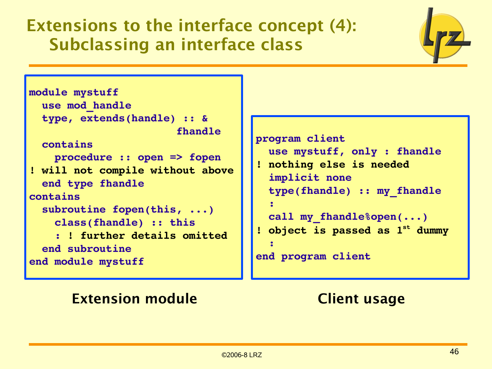## Extensions to the interface concept (4): Subclassing an interface class

```
module mystuff
    use mod_handle
    type, extends(handle) :: &
                                                   fhandle
    contains
        procedure :: open => fopen
! will not compile without above
    end type fhandle
contains
    subroutine fopen(this, ...)
        class(fhandle) :: this
         : ! further details omitted
    end subroutine
end module mystuff
```

```
program client
    use mystuff, only : fhandle
! nothing else is needed
    implicit none
    type(fhandle) :: my_fhandle
  :
    call my_fhandle%open(...)
! object is passed as 1st dummy
  :
end program client
```
### **Extension module Client usage**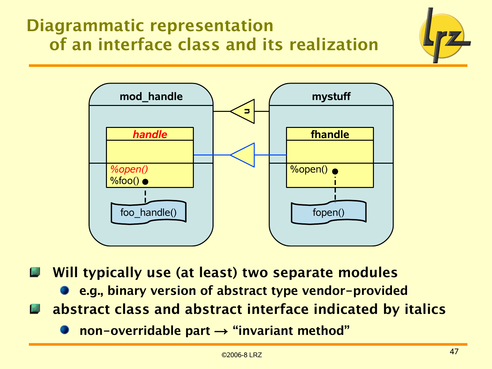## Diagrammatic representation of an interface class and its realization



Will typically use (at least) two separate modules

- e.g., binary version of abstract type vendor-provided
- abstract class and abstract interface indicated by italics
	- non-overridable part  $\rightarrow$  "invariant method"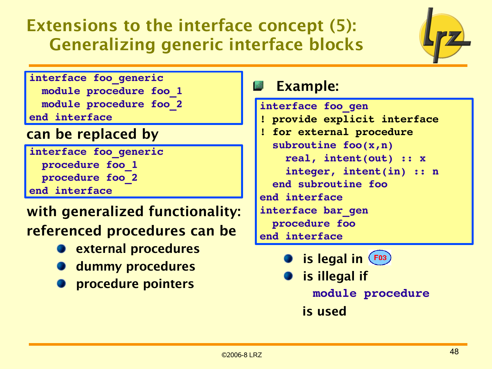## Extensions to the interface concept (5): Generalizing generic interface blocks



**interface foo\_generic module procedure foo\_1 module procedure foo\_2 end interface**

### can be replaced by

**interface foo\_generic procedure foo\_1 procedure foo\_2 end interface**

## with generalized functionality: referenced procedures can be

- **P** external procedures
- **dummy procedures**
- procedure pointers

## Example:

```
interface foo_gen
! provide explicit interface
! for external procedure
    subroutine foo(x,n)
        real, intent(out) :: x
        integer, intent(in) :: n
    end subroutine foo
end interface
interface bar_gen
    procedure foo
end interface
```
- is legal in  $(F^{03})$
- is illegal if  **module procedure**

 is used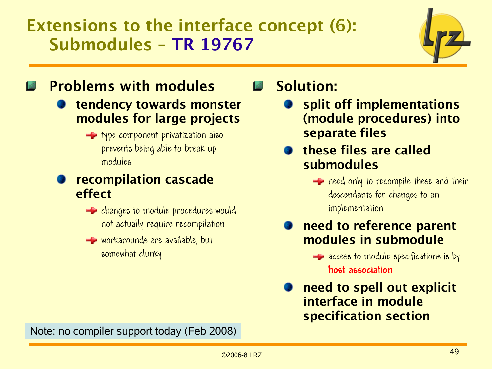## Extensions to the interface concept (6): Submodules – TR 19767



## Problems with modules

- tendency towards monster modules for large projects
	- **the type component privatization also** prevents being able to break up modules

### recompilation cascade effect

- $\blacktriangle$  changes to module procedures would not actually require recompilation
- workarounds are available, but somewhat clunky

## Solution:

- split off implementations (module procedures) into separate files
- these files are called submodules
	- $\equiv$  need only to recompile these and their descendants for changes to an implementation
- need to reference parent modules in submodule

 $\equiv$  access to module specifications is by **host association**

need to spell out explicit interface in module specification section

Note: no compiler support today (Feb 2008)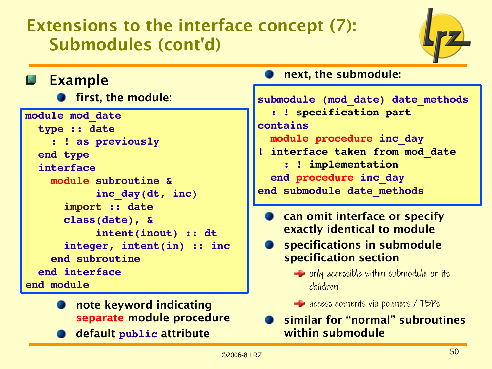## Extensions to the interface concept (7): Submodules (cont'd)



| 國<br><b>Example</b>                                                                                                      | n                                           |
|--------------------------------------------------------------------------------------------------------------------------|---------------------------------------------|
| <b>S</b> first, the module:                                                                                              | submod                                      |
| module mod date<br>type :: date<br>: ! as previously<br>end type                                                         | $\mathbf{L}$<br>contai<br>mod<br>$!$ inte   |
| interface<br>module subroutine &<br>inc day(dt, inc)                                                                     | end<br>end st                               |
| import :: date<br>class(date), &<br>intent(inout) :: dt<br>integer, intent(in) :: inc<br>end subroutine<br>end interface | Ca<br>e<br>S <sub>1</sub><br>S <sub>1</sub> |
| end module                                                                                                               |                                             |

- note keyword indicating separate module procedure
- default **public** attribute

### ext, the submodule:

| submodule (mod date) date methods<br>: ! specification part |
|-------------------------------------------------------------|
| contains                                                    |
| module procedure inc day                                    |
| ! interface taken from mod date                             |
| : ! implementation                                          |
| end procedure inc day                                       |
| end submodule date methods                                  |

- an omit interface or specify exactly identical to module
- specifications in submodule necification section
	- $\equiv$  only accessible within submodule or its children

**E** access contents via pointers / TBPs

similar for "normal" subroutines within submodule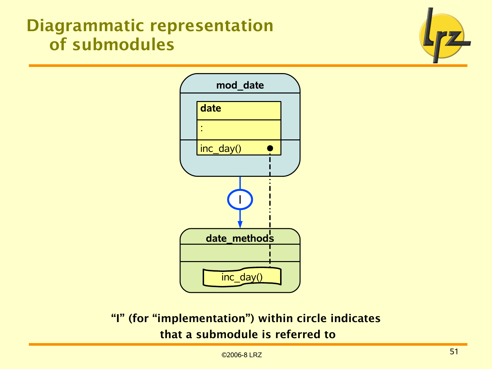## Diagrammatic representation of submodules





### "I" (for "implementation") within circle indicates that a submodule is referred to

©2006-8 LRZ 51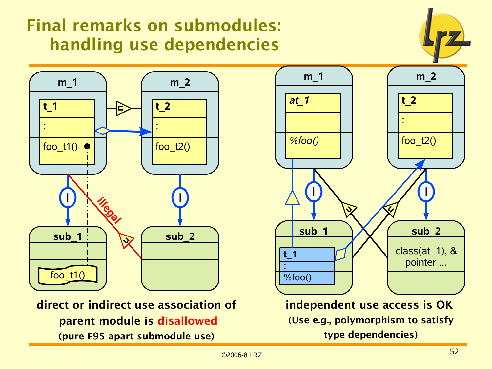## Final remarks on submodules: handling use dependencies





direct or indirect use association of parent module is disallowed (pure F95 apart submodule use)



(Use e.g., polymorphism to satisfy type dependencies)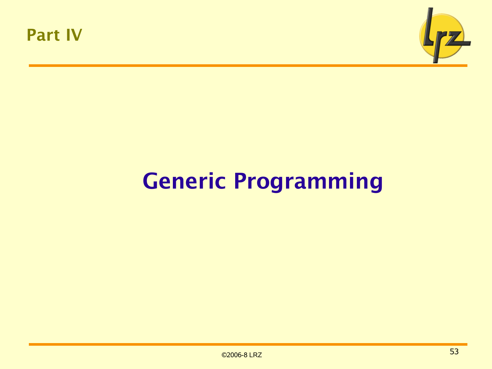



# Generic Programming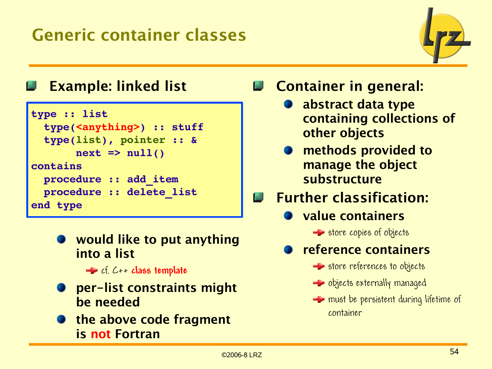

## Example: linked list

```
type :: list
    type(<anything>) :: stuff
    type(list), pointer :: &
       next => null()contains
   procedure :: add_item
   procedure :: delete_list
end type
```
would like to put anything into a list

cf. C++ **class template**

- per-list constraints might be needed
- **The above code fragment** is not Fortran
- Container in general:
	- abstract data type containing collections of other objects
	- methods provided to manage the object substructure
- Further classification: 國
	- value containers
		- $\equiv$  store copies of objects
	- reference containers
		- **Store references to objects**
		- $\blacktriangle$  objects externally managed
		- $\equiv$  must be persistent during lifetime of container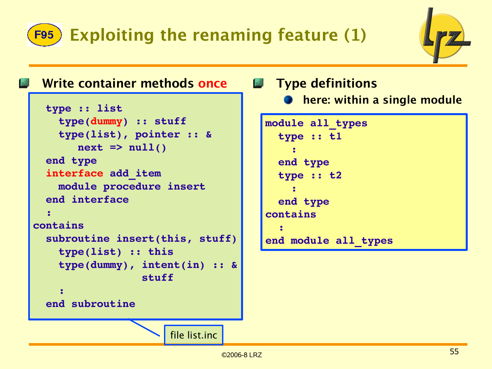# F95) Exploiting the renaming feature (1)



### Write container methods once **The Type definitions**

```
  type :: list
        type(dummy) :: stuff
        type(list), pointer :: &
        next => null()  end type
    interface add_item
        module procedure insert
    end interface
  :
contains
    subroutine insert(this, stuff)
        type(list) :: this
        type(dummy), intent(in) :: &
                                     stuff
    :
    end subroutine
```
# **• here: within a single module**

```
module all_types
    type :: t1
    :
    end type
    type :: t2
    : 
    end type 
contains
  :
end module all_types
```
file list.inc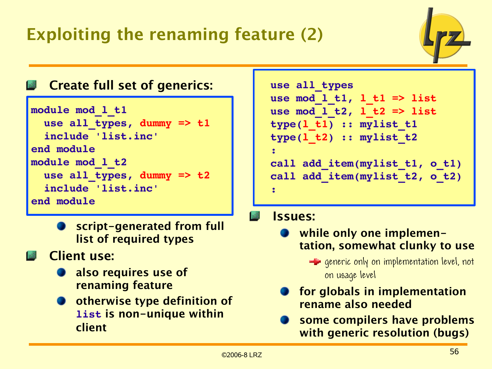## Exploiting the renaming feature (2)



### Create full set of generics:

```
module mod_l_t1
    use all_types, dummy => t1
    include 'list.inc'
end module 
module mod_l_t2
    use all_types, dummy => t2
    include 'list.inc'
end module
```
- script-generated from full list of required types
- Client use:
	- also requires use of renaming feature
	- otherwise type definition of **list** is non-unique within client

| call add item(mylist t1, o t1) |
|--------------------------------|
| call add item(mylist t2, o t2) |
|                                |
|                                |

### Issues:

- while only one implementation, somewhat clunky to use
	- $\equiv$  generic only on implementation level, not on usage level
- for globals in implementation rename also needed
- some compilers have problems with generic resolution (bugs)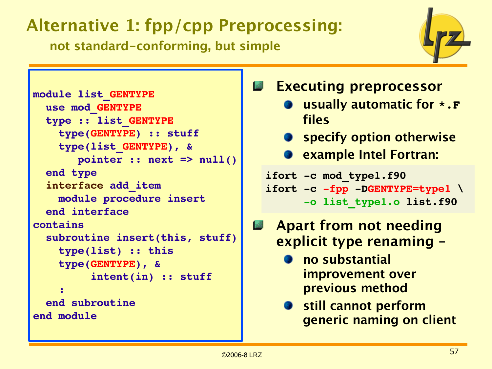# Alternative 1: fpp/cpp Preprocessing:

not standard-conforming, but simple



```
module list_GENTYPE
    use mod_GENTYPE
    type :: list_GENTYPE
        type(GENTYPE) :: stuff
        type(list_GENTYPE), &
               pointer :: next => null()
    end type
    interface add_item
        module procedure insert
    end interface
contains
    subroutine insert(this, stuff)
        type(list) :: this
        type(GENTYPE), &
                   intent(in) :: stuff
    :
    end subroutine
end module
```
## Executing preprocessor

- usually automatic for **\*.F** files
- **•** specify option otherwise
- **C** example Intel Fortran:
- ifort -c mod type1.f90 ifort -c -fpp -DGENTYPE=type1 \  **o list\_type1.o list.f90**
- Apart from not needing **Allen** explicit type renaming –
	- no substantial improvement over previous method
	- **Still cannot perform** generic naming on client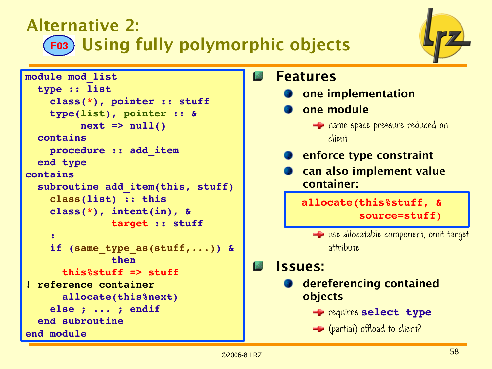## Alternative 2: Using fully polymorphic objects



```
module mod_list
    type :: list
         class(*), pointer :: stuff
         type(list), pointer :: &
           next => null()  contains
         procedure :: add_item
    end type 
contains
  subroutine add item(this, stuff)
         class(list) :: this
         class(*), intent(in), &
                               target :: stuff
    :
         if (same_type_as(stuff,...)) &
                               then
             this%stuff => stuff
! reference container
             allocate(this%next)
         else ; ... ; endif
    end subroutine
end module
```
#### Features ١æ

- one implementation
- one module
	- **Exercise in a measure reduced on** client
- **P** enforce type constraint
- can also implement value container:

 **allocate(this%stuff, & source=stuff)**

**E** use allocatable component, omit target attribute

### Issues:

- **dereferencing contained** objects
	- requires **select type**
	- **E** (partial) offload to client?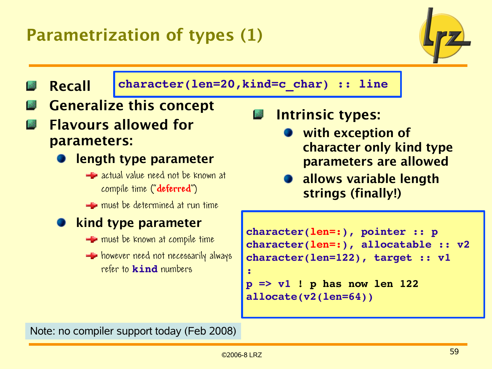## Parametrization of types (1)





Note: no compiler support today (Feb 2008)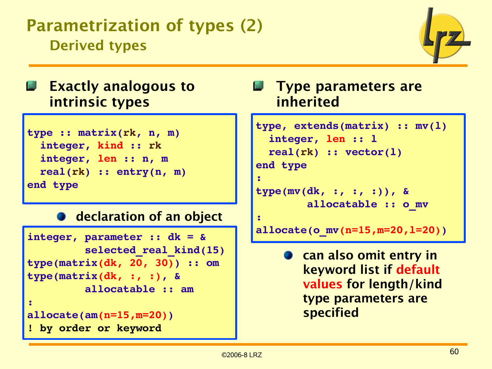## Parametrization of types (2) Derived types



## Exactly analogous to intrinsic types

```
type :: matrix(rk, n, m)
    integer, kind :: rk
    integer, len :: n, m
    real(rk) :: entry(n, m)
end type
```
### **declaration of an object**

```
integer, parameter :: dk = &
                   selected_real_kind(15)
type(matrix(dk, 20, 30)) :: om
type(matrix(dk, :, :), &
                   allocatable :: am
:
allocate(am(n=15,m=20))
! by order or keyword
```
### **Type parameters are** inherited

```
type, extends(matrix) :: mv(l)
    integer, len :: l
    real(rk) :: vector(l)
end type
:
type(mv(dk, :, :, :)), &
                allocatable :: o_mv
:
allocate(o_mv(n=15,m=20,l=20))
```
**a** can also omit entry in keyword list if default values for length/kind type parameters are specified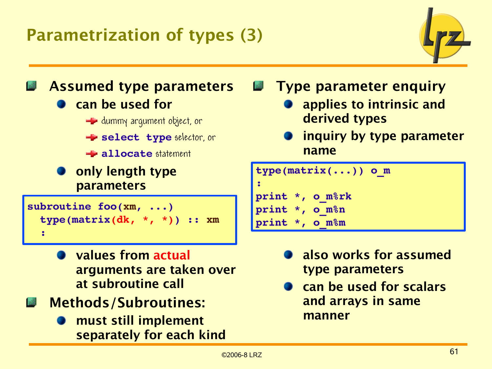## Parametrization of types (3)





- values from actual arguments are taken over at subroutine call
- Methods/Subroutines:
	- must still implement separately for each kind

Type parameter enquiry

- applies to intrinsic and derived types
- inquiry by type parameter name

```
type(matrix(...)) o_m
:
print *, o_m%rk
print *, o_m%n
print *, o_m%m
```
- also works for assumed type parameters
- can be used for scalars and arrays in same manner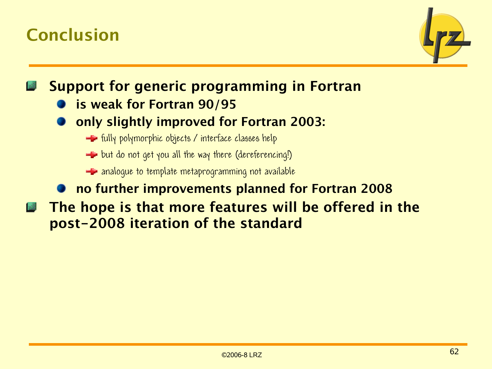## Conclusion



Support for generic programming in Fortran

- is weak for Fortran 90/95
- only slightly improved for Fortran 2003:
	- $\equiv$  fully polymorphic objects / interface classes help
	- $\rightarrow$  but do not get you all the way there (dereferencing!)
	- **A** analogue to template metaprogramming not available

### no further improvements planned for Fortran 2008

The hope is that more features will be offered in the **I** all post-2008 iteration of the standard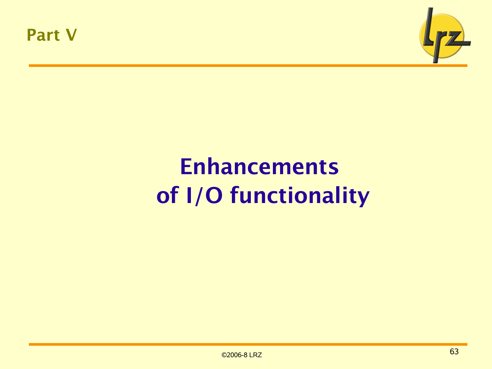



# Enhancements of I/O functionality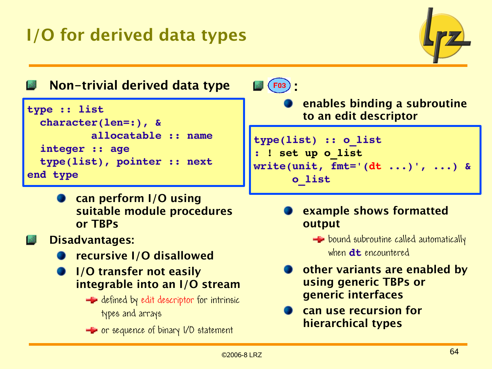## I/O for derived data types



Non-trivial derived data type

```
type :: list
    character(len=:), &
                      allocatable :: name
    integer :: age
    type(list), pointer :: next
end type
```
- can perform I/O using suitable module procedures or TBPs
- Disadvantages:
	- recursive I/O disallowed
	- I/O transfer not easily integrable into an I/O stream
		- $\blacktriangle$  defined by edit descriptor for intrinsic types and arrays
		- **E** or sequence of binary I/O statement

 $\left( 03\right)$ 

enables binding a subroutine to an edit descriptor

```
type(list) :: o_list
  : ! set up o_list
write(unit, fmt='(dt ...)', ...) &
            o_list
```
- example shows formatted output
	- $\blacktriangle$  bound subroutine called automatically when **dt** encountered
- other variants are enabled by using generic TBPs or generic interfaces
- can use recursion for hierarchical types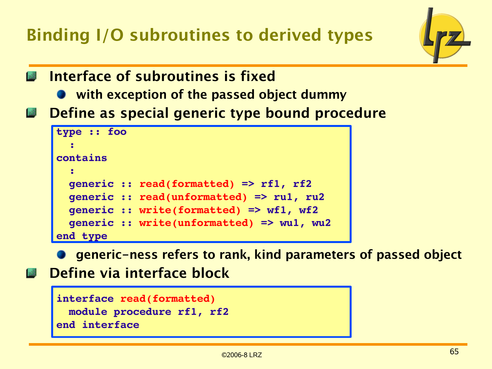Binding I/O subroutines to derived types



- Interface of subroutines is fixed
	- **•** with exception of the passed object dummy
- Define as special generic type bound procedure

```
generic :: read(formatted) == read(formatted) == read(formatted) == read(formatted)
generius :: read(unformation) == runded) == runded == runded == runded == runded
generic :: write(formatted) => wf1, wf2
generic :: read(formatted) => rf1, rf2
type :: foo
  : 
contains
  : 
    generic :: read(unformatted) => ru1, ru2
    generic :: write(formatted) => wf1, wf2
    generic :: write(unformatted) => wu1, wu2
end type
```
generic-ness refers to rank, kind parameters of passed object

**Define via interface block** 

```
interface read(formatted) 
   module procedure rf1, rf2
end interface
```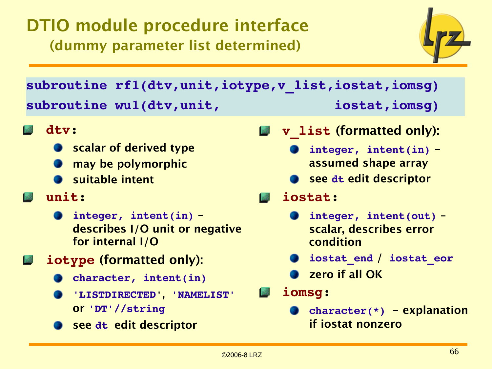## DTIO module procedure interface (dummy parameter list determined)



**subroutine rf1(dtv,unit,iotype,v\_list,iostat,iomsg) subroutine wu1(dtv,unit, iostat,iomsg)**

- **dtv:**
	- scalar of derived type
	- may be polymorphic
	- **Suitable intent**

### **unit:**

- **integer, intent(in)** describes I/O unit or negative for internal I/O
- **iotype** (formatted only):
	- **character, intent(in)**
	- **'LISTDIRECTED'**, **'NAMELIST'** or **'DT'//string**
	- see **dt** edit descriptor

**v\_list** (formatted only): **Issue** 

- **integer, intent(in)** assumed shape array
- see **dt** edit descriptor

### **iostat:**

- **integer, intent(out)** scalar, describes error condition
- **iostat\_end** / **iostat\_eor**
- zero if all OK
- **iomsg:**
	- **character(\*)**  explanation if iostat nonzero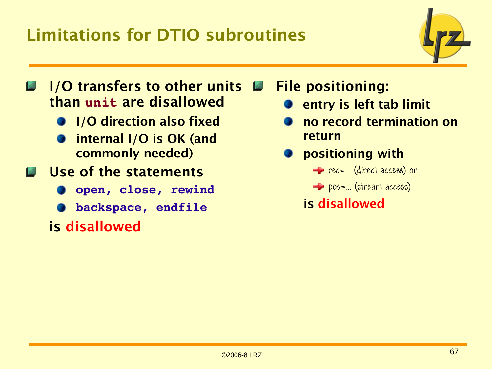## Limitations for DTIO subroutines



- **I/O transfers to other units Form** than **unit** are disallowed
	- **•** I/O direction also fixed
	- internal I/O is OK (and commonly needed)
- **Use of the statements** 
	- **open, close, rewind**
	- **backspace, endfile**
	- is disallowed
- File positioning:
	- **O** entry is left tab limit
	- no record termination on return
	- positioning with
		- $r =$  rec=... (direct access) or
		- **Prose...** (stream access)

is disallowed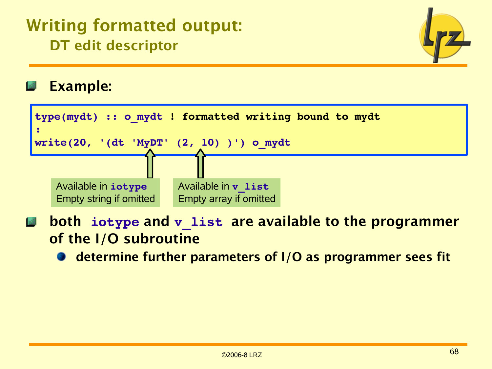## Writing formatted output: DT edit descriptor



### Example:



- both **iotype** and **v\_list** are available to the programmer 感。 of the I/O subroutine
	- determine further parameters of I/O as programmer sees fit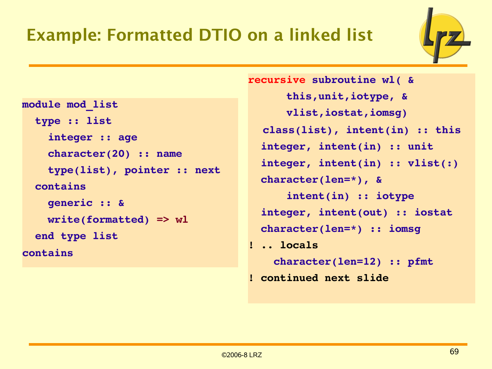## Example: Formatted DTIO on a linked list



```
module mod_list
    type :: list
         integer :: age
        character(20) :: name
        type(list), pointer :: next
    contains
        generic :: &
        write(formatted) => wl
    end type list
contains
```
**recursive subroutine wl( & this,unit,iotype, & vlist,iostat,iomsg) class(list), intent(in) :: this integer, intent(in) :: unit integer, intent(in) :: vlist(:) character(len=\*), & intent(in) :: iotype integer, intent(out) :: iostat character(len=\*) :: iomsg ! .. locals character(len=12) :: pfmt ! continued next slide**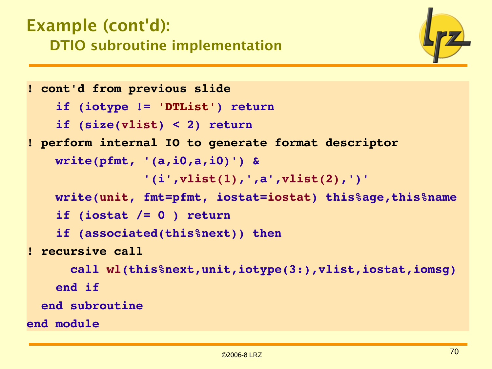## Example (cont'd): DTIO subroutine implementation

```
! cont'd from previous slide
        if (iotype != 'DTList') return
        if (size(vlist) < 2) return
! perform internal IO to generate format descriptor
        write(pfmt, '(a,i0,a,i0)') &
                                  '(i',vlist(1),',a',vlist(2),')'
        write(unit, fmt=pfmt, iostat=iostat) this%age,this%name
        if (iostat /= 0 ) return
        if (associated(this%next)) then
! recursive call
             call wl(this%next,unit,iotype(3:),vlist,iostat,iomsg)
        end if
    end subroutine
end module
```